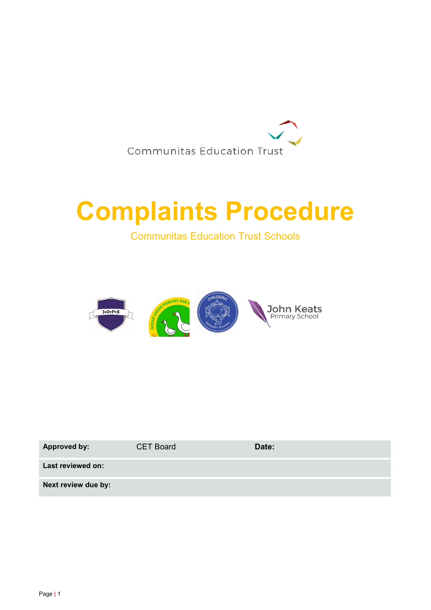

# Complaints Procedure

Communitas Education Trust Schools



| <b>Approved by:</b> | <b>CET Board</b> | Date: |
|---------------------|------------------|-------|
| Last reviewed on:   |                  |       |
| Next review due by: |                  |       |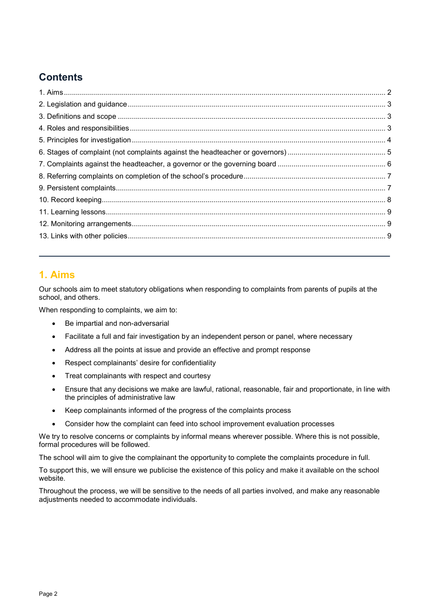# **Contents**

# 1. Aims

Our schools aim to meet statutory obligations when responding to complaints from parents of pupils at the school, and others.

When responding to complaints, we aim to:

- Be impartial and non-adversarial
- Facilitate a full and fair investigation by an independent person or panel, where necessary
- Address all the points at issue and provide an effective and prompt response
- Respect complainants' desire for confidentiality
- Treat complainants with respect and courtesy
- Ensure that any decisions we make are lawful, rational, reasonable, fair and proportionate, in line with the principles of administrative law
- Keep complainants informed of the progress of the complaints process
- Consider how the complaint can feed into school improvement evaluation processes

We try to resolve concerns or complaints by informal means wherever possible. Where this is not possible, formal procedures will be followed.

The school will aim to give the complainant the opportunity to complete the complaints procedure in full.

To support this, we will ensure we publicise the existence of this policy and make it available on the school website.

Throughout the process, we will be sensitive to the needs of all parties involved, and make any reasonable adjustments needed to accommodate individuals.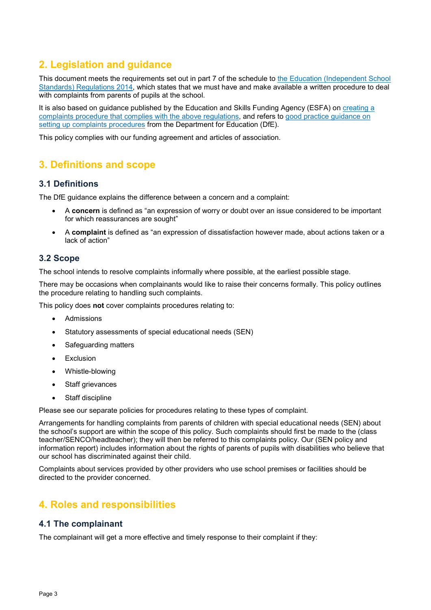# 2. Legislation and guidance

This document meets the requirements set out in part 7 of the schedule to the Education (Independent School Standards) Regulations 2014, which states that we must have and make available a written procedure to deal with complaints from parents of pupils at the school.

It is also based on guidance published by the Education and Skills Funding Agency (ESFA) on creating a complaints procedure that complies with the above regulations, and refers to good practice guidance on setting up complaints procedures from the Department for Education (DfE).

This policy complies with our funding agreement and articles of association.

# 3. Definitions and scope

## 3.1 Definitions

The DfE guidance explains the difference between a concern and a complaint:

- A concern is defined as "an expression of worry or doubt over an issue considered to be important for which reassurances are sought"
- A complaint is defined as "an expression of dissatisfaction however made, about actions taken or a lack of action"

## 3.2 Scope

The school intends to resolve complaints informally where possible, at the earliest possible stage.

There may be occasions when complainants would like to raise their concerns formally. This policy outlines the procedure relating to handling such complaints.

This policy does not cover complaints procedures relating to:

- Admissions
- Statutory assessments of special educational needs (SEN)
- Safeguarding matters
- Exclusion
- Whistle-blowing
- Staff grievances
- Staff discipline

Please see our separate policies for procedures relating to these types of complaint.

Arrangements for handling complaints from parents of children with special educational needs (SEN) about the school's support are within the scope of this policy. Such complaints should first be made to the (class teacher/SENCO/headteacher); they will then be referred to this complaints policy. Our (SEN policy and information report) includes information about the rights of parents of pupils with disabilities who believe that our school has discriminated against their child.

Complaints about services provided by other providers who use school premises or facilities should be directed to the provider concerned.

# 4. Roles and responsibilities

#### 4.1 The complainant

The complainant will get a more effective and timely response to their complaint if they: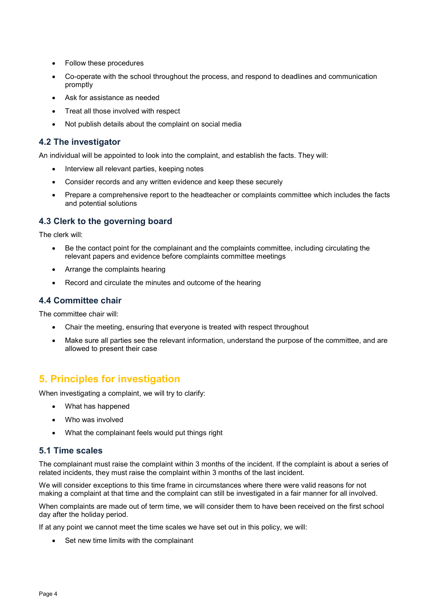- Follow these procedures
- Co-operate with the school throughout the process, and respond to deadlines and communication promptly
- Ask for assistance as needed
- Treat all those involved with respect
- Not publish details about the complaint on social media

## 4.2 The investigator

An individual will be appointed to look into the complaint, and establish the facts. They will:

- Interview all relevant parties, keeping notes
- Consider records and any written evidence and keep these securely
- Prepare a comprehensive report to the headteacher or complaints committee which includes the facts and potential solutions

## 4.3 Clerk to the governing board

The clerk will:

- Be the contact point for the complainant and the complaints committee, including circulating the relevant papers and evidence before complaints committee meetings
- Arrange the complaints hearing
- Record and circulate the minutes and outcome of the hearing

## 4.4 Committee chair

The committee chair will:

- Chair the meeting, ensuring that everyone is treated with respect throughout
- Make sure all parties see the relevant information, understand the purpose of the committee, and are allowed to present their case

## 5. Principles for investigation

When investigating a complaint, we will try to clarify:

- What has happened
- Who was involved
- What the complainant feels would put things right

#### 5.1 Time scales

The complainant must raise the complaint within 3 months of the incident. If the complaint is about a series of related incidents, they must raise the complaint within 3 months of the last incident.

We will consider exceptions to this time frame in circumstances where there were valid reasons for not making a complaint at that time and the complaint can still be investigated in a fair manner for all involved.

When complaints are made out of term time, we will consider them to have been received on the first school day after the holiday period.

If at any point we cannot meet the time scales we have set out in this policy, we will:

Set new time limits with the complainant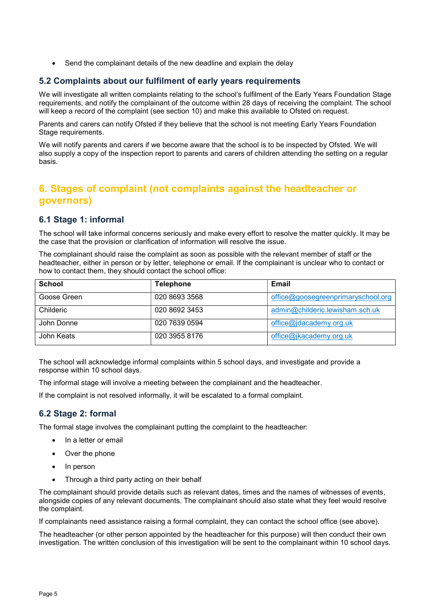Send the complainant details of the new deadline and explain the delay

## 5.2 Complaints about our fulfilment of early years requirements

We will investigate all written complaints relating to the school's fulfilment of the Early Years Foundation Stage requirements, and notify the complainant of the outcome within 28 days of receiving the complaint. The school will keep a record of the complaint (see section 10) and make this available to Ofsted on request.

Parents and carers can notify Ofsted if they believe that the school is not meeting Early Years Foundation Stage requirements.

We will notify parents and carers if we become aware that the school is to be inspected by Ofsted. We will also supply a copy of the inspection report to parents and carers of children attending the setting on a regular basis.

# 6. Stages of complaint (not complaints against the headteacher or governors)

## 6.1 Stage 1: informal

The school will take informal concerns seriously and make every effort to resolve the matter quickly. It may be the case that the provision or clarification of information will resolve the issue.

The complainant should raise the complaint as soon as possible with the relevant member of staff or the headteacher, either in person or by letter, telephone or email. If the complainant is unclear who to contact or how to contact them, they should contact the school office:

| <b>School</b> | <b>Telephone</b> | Email                              |
|---------------|------------------|------------------------------------|
| Goose Green   | 020 8693 3568    | office@goosegreenprimaryschool.org |
| Childeric     | 020 8692 3453    | admin@childeric.lewisham.sch.uk    |
| John Donne    | 020 7639 0594    | office@jdacademy.org.uk            |
| John Keats    | 020 3955 8176    | office@jkacademy.org.uk            |

The school will acknowledge informal complaints within 5 school days, and investigate and provide a response within 10 school days.

The informal stage will involve a meeting between the complainant and the headteacher.

If the complaint is not resolved informally, it will be escalated to a formal complaint.

## 6.2 Stage 2: formal

The formal stage involves the complainant putting the complaint to the headteacher:

- In a letter or email
- Over the phone
- In person
- Through a third party acting on their behalf

The complainant should provide details such as relevant dates, times and the names of witnesses of events, alongside copies of any relevant documents. The complainant should also state what they feel would resolve the complaint.

If complainants need assistance raising a formal complaint, they can contact the school office (see above).

The headteacher (or other person appointed by the headteacher for this purpose) will then conduct their own investigation. The written conclusion of this investigation will be sent to the complainant within 10 school days.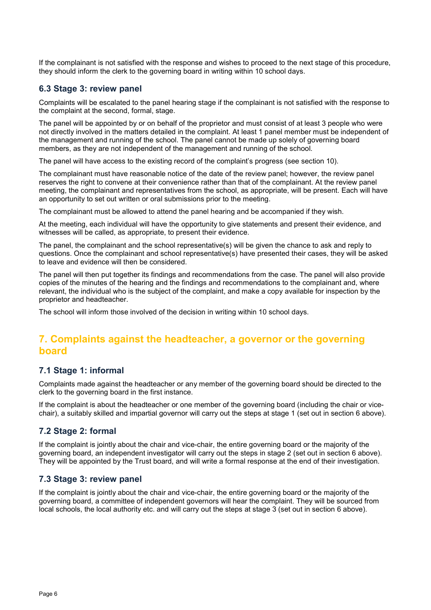If the complainant is not satisfied with the response and wishes to proceed to the next stage of this procedure, they should inform the clerk to the governing board in writing within 10 school days.

#### 6.3 Stage 3: review panel

Complaints will be escalated to the panel hearing stage if the complainant is not satisfied with the response to the complaint at the second, formal, stage.

The panel will be appointed by or on behalf of the proprietor and must consist of at least 3 people who were not directly involved in the matters detailed in the complaint. At least 1 panel member must be independent of the management and running of the school. The panel cannot be made up solely of governing board members, as they are not independent of the management and running of the school.

The panel will have access to the existing record of the complaint's progress (see section 10).

The complainant must have reasonable notice of the date of the review panel; however, the review panel reserves the right to convene at their convenience rather than that of the complainant. At the review panel meeting, the complainant and representatives from the school, as appropriate, will be present. Each will have an opportunity to set out written or oral submissions prior to the meeting.

The complainant must be allowed to attend the panel hearing and be accompanied if they wish.

At the meeting, each individual will have the opportunity to give statements and present their evidence, and witnesses will be called, as appropriate, to present their evidence.

The panel, the complainant and the school representative(s) will be given the chance to ask and reply to questions. Once the complainant and school representative(s) have presented their cases, they will be asked to leave and evidence will then be considered.

The panel will then put together its findings and recommendations from the case. The panel will also provide copies of the minutes of the hearing and the findings and recommendations to the complainant and, where relevant, the individual who is the subject of the complaint, and make a copy available for inspection by the proprietor and headteacher.

The school will inform those involved of the decision in writing within 10 school days.

# 7. Complaints against the headteacher, a governor or the governing board

#### 7.1 Stage 1: informal

Complaints made against the headteacher or any member of the governing board should be directed to the clerk to the governing board in the first instance.

If the complaint is about the headteacher or one member of the governing board (including the chair or vicechair), a suitably skilled and impartial governor will carry out the steps at stage 1 (set out in section 6 above).

## 7.2 Stage 2: formal

If the complaint is jointly about the chair and vice-chair, the entire governing board or the majority of the governing board, an independent investigator will carry out the steps in stage 2 (set out in section 6 above). They will be appointed by the Trust board, and will write a formal response at the end of their investigation.

#### 7.3 Stage 3: review panel

If the complaint is jointly about the chair and vice-chair, the entire governing board or the majority of the governing board, a committee of independent governors will hear the complaint. They will be sourced from local schools, the local authority etc. and will carry out the steps at stage 3 (set out in section 6 above).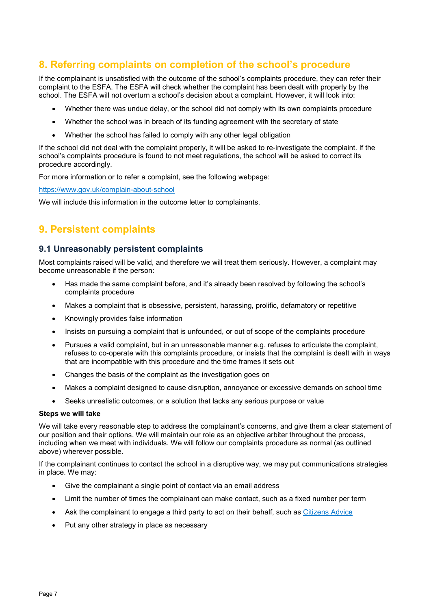# 8. Referring complaints on completion of the school's procedure

If the complainant is unsatisfied with the outcome of the school's complaints procedure, they can refer their complaint to the ESFA. The ESFA will check whether the complaint has been dealt with properly by the school. The ESFA will not overturn a school's decision about a complaint. However, it will look into:

- Whether there was undue delay, or the school did not comply with its own complaints procedure
- Whether the school was in breach of its funding agreement with the secretary of state
- Whether the school has failed to comply with any other legal obligation

If the school did not deal with the complaint properly, it will be asked to re-investigate the complaint. If the school's complaints procedure is found to not meet regulations, the school will be asked to correct its procedure accordingly.

For more information or to refer a complaint, see the following webpage:

https://www.gov.uk/complain-about-school

We will include this information in the outcome letter to complainants.

# 9. Persistent complaints

## 9.1 Unreasonably persistent complaints

Most complaints raised will be valid, and therefore we will treat them seriously. However, a complaint may become unreasonable if the person:

- Has made the same complaint before, and it's already been resolved by following the school's complaints procedure
- Makes a complaint that is obsessive, persistent, harassing, prolific, defamatory or repetitive
- Knowingly provides false information
- Insists on pursuing a complaint that is unfounded, or out of scope of the complaints procedure
- Pursues a valid complaint, but in an unreasonable manner e.g. refuses to articulate the complaint, refuses to co-operate with this complaints procedure, or insists that the complaint is dealt with in ways that are incompatible with this procedure and the time frames it sets out
- Changes the basis of the complaint as the investigation goes on
- Makes a complaint designed to cause disruption, annoyance or excessive demands on school time
- Seeks unrealistic outcomes, or a solution that lacks any serious purpose or value

#### Steps we will take

We will take every reasonable step to address the complainant's concerns, and give them a clear statement of our position and their options. We will maintain our role as an objective arbiter throughout the process, including when we meet with individuals. We will follow our complaints procedure as normal (as outlined above) wherever possible.

If the complainant continues to contact the school in a disruptive way, we may put communications strategies in place. We may:

- Give the complainant a single point of contact via an email address
- Limit the number of times the complainant can make contact, such as a fixed number per term
- Ask the complainant to engage a third party to act on their behalf, such as Citizens Advice
- Put any other strategy in place as necessary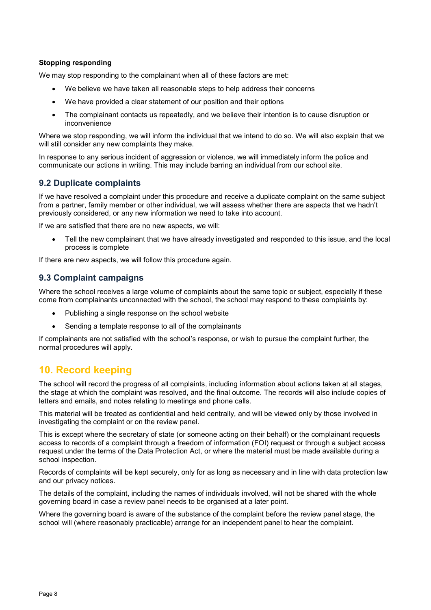#### Stopping responding

We may stop responding to the complainant when all of these factors are met:

- We believe we have taken all reasonable steps to help address their concerns
- We have provided a clear statement of our position and their options
- The complainant contacts us repeatedly, and we believe their intention is to cause disruption or inconvenience

Where we stop responding, we will inform the individual that we intend to do so. We will also explain that we will still consider any new complaints they make.

In response to any serious incident of aggression or violence, we will immediately inform the police and communicate our actions in writing. This may include barring an individual from our school site.

#### 9.2 Duplicate complaints

If we have resolved a complaint under this procedure and receive a duplicate complaint on the same subject from a partner, family member or other individual, we will assess whether there are aspects that we hadn't previously considered, or any new information we need to take into account.

If we are satisfied that there are no new aspects, we will:

 Tell the new complainant that we have already investigated and responded to this issue, and the local process is complete

If there are new aspects, we will follow this procedure again.

#### 9.3 Complaint campaigns

Where the school receives a large volume of complaints about the same topic or subject, especially if these come from complainants unconnected with the school, the school may respond to these complaints by:

- Publishing a single response on the school website
- Sending a template response to all of the complainants

If complainants are not satisfied with the school's response, or wish to pursue the complaint further, the normal procedures will apply.

## 10. Record keeping

The school will record the progress of all complaints, including information about actions taken at all stages, the stage at which the complaint was resolved, and the final outcome. The records will also include copies of letters and emails, and notes relating to meetings and phone calls.

This material will be treated as confidential and held centrally, and will be viewed only by those involved in investigating the complaint or on the review panel.

This is except where the secretary of state (or someone acting on their behalf) or the complainant requests access to records of a complaint through a freedom of information (FOI) request or through a subject access request under the terms of the Data Protection Act, or where the material must be made available during a school inspection.

Records of complaints will be kept securely, only for as long as necessary and in line with data protection law and our privacy notices.

The details of the complaint, including the names of individuals involved, will not be shared with the whole governing board in case a review panel needs to be organised at a later point.

Where the governing board is aware of the substance of the complaint before the review panel stage, the school will (where reasonably practicable) arrange for an independent panel to hear the complaint.